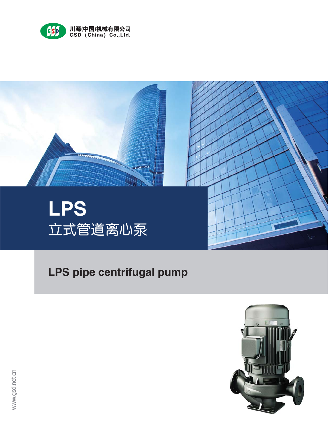



# **LPS pipe centrifugal pump**

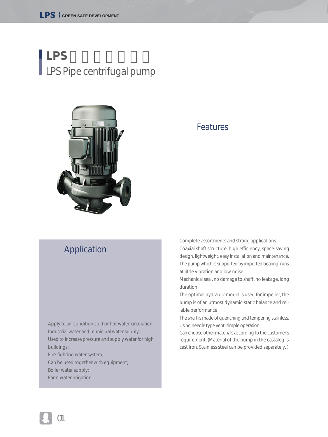# **LPS**立式管道离心泵 LPS Pipe centrifugal pump



#### Features

#### Application

Apply to air-condition cold or hot water circulation; Industrial water and municipal water supply; Used to increase pressure and supply water for high buildings;

Fire-fighting water system;

Can be used together with equipment; Boiler water supply;

Farm water irrigation.

Complete assortments and strong applications. Coaxial shaft structure, high efficiency, space-saving design, lightweight, easy installation and maintenance. The pump which is supported by imported bearing, runs at little vibration and low noise.

Mechanical seal, no damage to shaft, no leakage, long duration.

The optimal hydraulic model is used for impeller, the pump is of an utmost dynamic-static balance and reliable performance.

The shaft is made of quenching and tempering stainless. Using needle type vent, simple operation.

Can choose other materials according to the customer's requirement. (Material of the pump in the castalog is cast iron. Stainless steel can be provided separately. )

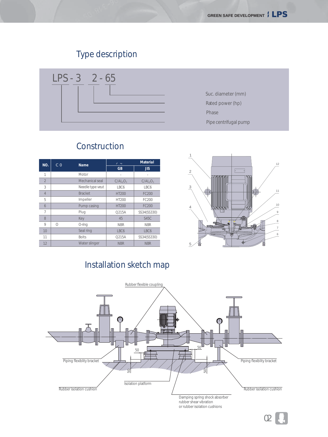### Type description



#### *NO.* 材质 *Material* 名称 *Name* Motor Mechanical seal Needle type veut Bracket Impeller Pump casing Plug Key O-ring Seal ring Bolts *GB JIS* 1 2 3 4 5 6 7 8 9 10 11 12  $\overline{O}$ -  $C/AL_2O_3$ LBC6 HT200 HT200 HT200 Q215A 45 NBR LBC6 Q215A NBR -  $C/AL_2O_3$ LBC6 FC200 FC200 FC200 SS34(SS330) S45C NBR LBC6 SS34(SS330) NBR Water slinger

#### Construction



#### Installation sketch map

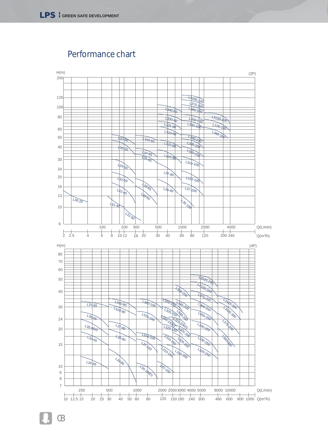

Performance chart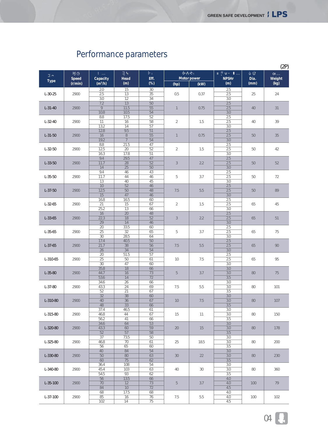|                |                         |                 |                 |                 |                    |      |                  |      | (2P)   |
|----------------|-------------------------|-----------------|-----------------|-----------------|--------------------|------|------------------|------|--------|
|                | <b>Speed</b><br>(r/min) | Capacity        | Head<br>(m)     | Eff.            | <b>Motor power</b> |      | <b>NPSHr</b>     | Dia. | Weight |
| <b>Type</b>    |                         | $(m^3/h)$       |                 | (%)             | (hp)               | (kW) | (m)              | (mm) | (kg)   |
|                |                         | 2.0             | 15              | 30              |                    |      | 2.5              |      |        |
| $L - 30 - 25$  | 2900                    | 2.5             | 13              | 35              | 0.5                | 0.37 | 2.5              | 25   | 24     |
|                |                         | 3.0<br>7.2      | 12              | 34              |                    |      | 3.0              |      |        |
| $L - 31 - 40$  | 2900                    | 9               | 13<br>11.5      | 50<br>55        | $\mathbf{1}$       | 0.75 | 2.5<br>2.5       | 40   | 31     |
|                |                         | 10.8            | 10.5            | 54              |                    |      | 3.0              |      |        |
|                |                         | 8.8             | 17.5            | 52              |                    |      | 2.5              |      |        |
| $L - 32 - 40$  | 2900                    | 11              | 16              | 58              | $\overline{2}$     | 1.5  | 2.5              | 40   | 39     |
|                |                         | 13.2            | 14              | 57              |                    |      | 3.0              |      |        |
| $L - 31 - 50$  | 2900                    | 12.8<br>16      | 9.5<br>$\,8\,$  | 51<br>55        | $\mathbf{1}$       | 0.75 | 2.5<br>2.5       | 50   | 35     |
|                |                         | 19.2            | 7               | 54              |                    |      | 3.0              |      |        |
|                |                         | 8.8             | 21.5            | 47              |                    |      | 2.5              |      |        |
| $L - 32 - 50$  | 2900                    | 12.5            | 20              | 52              | $\overline{2}$     | 1.5  | 2.5              | 50   | 42     |
|                |                         | 16.3            | 17.8            | 51              |                    |      | 3.0              |      |        |
|                |                         | 9.4             | 29.5            | 47              |                    |      | 2.5              |      |        |
| $L - 33 - 50$  | 2900                    | 11.7            | 28<br>25        | 52              | $\mathfrak{Z}$     | 2.2  | 2.5              | 50   | 52     |
|                |                         | 14<br>9.4       | 46              | 50<br>43        |                    |      | 3.0<br>2.5       |      |        |
| $L - 35 - 50$  | 2900                    | 11.7            | 44              | 46              | 5                  | 3.7  | 2.5              | 50   | 72     |
|                |                         | 13              | 40              | 45              |                    |      | 3.0              |      |        |
|                |                         | 10              | 52              | 46              |                    | 5.5  | 2.5              |      |        |
| $L - 37 - 50$  | 2900                    | 12.5            | 50              | 48              | 7.5                |      | 2.5              | 50   | 89     |
|                |                         | 15              | 47              | 46              |                    |      | 3.0              |      |        |
| $L - 32 - 65$  | 2900                    | 16.8<br>21      | 16.5<br>15      | 60<br>67        | $\overline{2}$     | 1.5  | 2.5<br>2.5       |      |        |
|                |                         | 25.2            | 13              | 66              |                    |      | 3.0              | 65   | 45     |
|                |                         | 16              | 20              | 48              |                    |      | 2.5              |      |        |
| $L - 33 - 65$  | 2900                    | 22.3            | 18              | 52              | 3                  | 2.2  | 2.5              | 65   | 51     |
|                |                         | 29              | 14              | 46              |                    |      | 3.0              |      |        |
| $L - 35 - 65$  |                         | 20              | 33.5            | 60              | 5                  |      | 2.5              |      |        |
|                | 2900                    | 25              | 32              | 65              |                    | 3.7  | 2.5              | 65   | 75     |
|                |                         | 30<br>17.4      | 28.5<br>40.5    | 64<br>50        |                    |      | 3.0<br>2.5       |      |        |
| $L - 37 - 65$  | 2900                    | 21.7            | 38              | 56              | 7.5                | 5.5  | 2.5              | 65   | 90     |
|                |                         | 26              | 34              | 54              |                    |      | 3.0              |      |        |
|                |                         | 20              | 51.5            | 57              |                    |      | 2.5              |      |        |
| $L - 310 - 65$ | 2900                    | $\overline{25}$ | 50              | 61              | 10                 | 7.5  | 2.5              | 65   | 95     |
|                |                         | 30              | 47              | 60              |                    |      | 3.0              |      |        |
| $L - 35 - 80$  | 2900                    | 35.8<br>44.7    | 18<br>16        | 66<br>73        | 5                  | 3.7  | 3.0<br>3.0       | 80   | 75     |
|                |                         | 53.6            | $\overline{14}$ | $\overline{72}$ |                    |      | $\overline{3.5}$ |      |        |
|                |                         | 34.6            | 26              | 66              |                    |      | 3.0              |      |        |
| $L - 37 - 80$  | 2900                    | 43.3            | 24              | 69              | 7.5                | 5.5  | 3.0              | 80   | 101    |
|                |                         | 52              | 21              | 67              |                    |      | 3.5              |      |        |
|                | 2900                    | 32              | 38              | 60              |                    | 7.5  | 3.0              |      |        |
| $L - 310 - 80$ |                         | 40<br>48        | 36<br>33        | 67<br>66        | 10 <sup>°</sup>    |      | 3.0<br>3.5       | 80   | 107    |
|                |                         | 37.4            | 46.5            | 61              |                    |      | 3.0              |      |        |
| $L - 315 - 80$ | 2900                    | 46.8            | 44              | 67              | 15                 | 11   | 3.0              | 80   | 150    |
|                |                         | 56.2            | 41              | 66              |                    |      | 3.5              |      |        |
|                |                         | 34.6            | 64              | 53              |                    |      | 3.0              |      |        |
| $L - 320 - 80$ | 2900                    | 43.3            | 60              | 59              | 20                 | 15   | 3.0              | 80   | 178    |
|                |                         | 52              | 57              | 58              |                    |      | 3.5              |      |        |
| $L - 325 - 80$ | 2900                    | 37<br>46.8      | 73.5<br>70      | 50<br>61        | 25                 | 18.5 | 3.0<br>3.0       | 80   | 200    |
|                |                         | 56              | 65              | 60              |                    |      | 3.5              |      |        |
|                |                         | 40              | 84              | 54              |                    |      | 3.0              |      |        |
| $L - 330 - 80$ | 2900                    | 50              | 80              | 63              | 30                 | 22   | 3.0              | 80   | 230    |
|                |                         | 60              | 75              | 62              |                    |      | 3.5              |      |        |
|                |                         | 36.4            | 108             | 54              |                    |      | 3.0              |      |        |
| L-340-80       | 2900                    | 45.4            | 103<br>93       | 63              | 40                 | 30   | 3.0              | 80   | 360    |
|                |                         | 54.5<br>56      | 13.5            | 62<br>66        |                    |      | 3.5<br>4.0       |      |        |
| $L - 35 - 100$ | 2900                    | 70              | 12              | 73              | 5                  | 3.7  | 4.0              | 100  | 79     |
|                |                         | 84              | 10              | 72              |                    |      | 4.5              |      |        |
|                |                         | 68              | 17.5            | 68              |                    |      | 4.0              |      |        |
| $L - 37 - 100$ | 2900                    | 85              | 16              | 76              | 7.5                | 5.5  | 4.0              | 100  | 102    |
|                |                         | 102             | 14              | 75              |                    |      | 4.5              |      |        |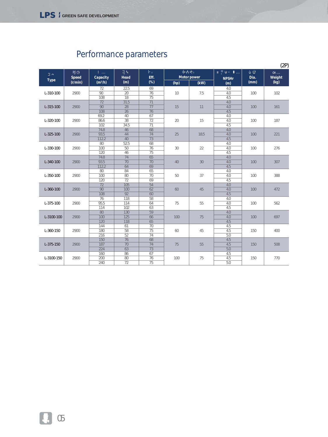|                 |                         |                                           |                                            |                                          |      |                            |                     |              | (2P)           |
|-----------------|-------------------------|-------------------------------------------|--------------------------------------------|------------------------------------------|------|----------------------------|---------------------|--------------|----------------|
| <b>Type</b>     | <b>Speed</b><br>(r/min) | Capacity<br>$(m^3/h)$                     | Head<br>(m)                                | Eff.<br>(%)                              | (hp) | <b>Motor power</b><br>(kW) | <b>NPSHr</b><br>(m) | Dia.<br>(mm) | Weight<br>(kg) |
| $L - 310 - 100$ | 2900                    | 72<br>$\overline{90}$<br>108              | 22.5<br>$\overline{20}$<br>$\overline{18}$ | 69<br>$\overline{76}$<br>$\overline{75}$ | 10   | 7.5                        | 4.0<br>4.0<br>4.5   | 100          | 102            |
| $L-315-100$     | 2900                    | $\overline{72}$<br>$\overline{90}$<br>108 | 31.5<br>$\overline{28}$<br>$\overline{26}$ | $\overline{71}$<br>$\overline{77}$<br>76 | 15   | 11                         | 4.0<br>4.0<br>4.5   | 100          | 161            |
| L-320-100       | 2900                    | 69.2<br>86.6<br>102                       | 40<br>$\overline{38}$<br>34.5              | 67<br>72<br>$\overline{71}$              | 20   | 15                         | 4.0<br>4.0<br>4.5   | 100          | 187            |
| $L - 325 - 100$ | 2900                    | 74.8<br>93.5<br>112.2                     | $\overline{46}$<br>44<br>40                | 68<br>74<br>73                           | 25   | 18.5                       | 4.0<br>4.0<br>4.5   | 100          | 221            |
| $L - 330 - 100$ | 2900                    | 80<br>100<br>120                          | 52.5<br>$\overline{50}$<br>46              | 68<br>76<br>$\overline{75}$              | 30   | 22                         | 4.0<br>4.0<br>4.5   | 100          | 276            |
| $L - 340 - 100$ | 2900                    | 74.8<br>93.5<br>112.2                     | 74<br>$\overline{70}$<br>64                | 65<br>70<br>69                           | 40   | 30                         | 4.0<br>4.0<br>4.5   | 100          | 307            |
| $L - 350 - 100$ | 2900                    | 80<br>100<br>120                          | 84<br>80<br>$\overline{72}$                | 65<br>70<br>69                           | 50   | 37                         | 4.0<br>4.0<br>4.5   | 100          | 388            |
| $L - 360 - 100$ | 2900                    | $\overline{72}$<br>$\overline{90}$<br>108 | 105<br>100<br>92                           | $\overline{54}$<br>62<br>60              | 60   | 45                         | 4.0<br>4.0<br>4.5   | 100          | 472            |
| $L - 375 - 100$ | 2900                    | 76<br>95.5<br>114                         | $\overline{118}$<br>114<br>102             | 58<br>64<br>63                           | 75   | 55                         | 4.0<br>4.0<br>4.5   | 100          | 562            |
| L-3100-100      | 2900                    | $\overline{80}$<br>100<br>120             | 130<br>125<br>$\overline{118}$             | 59<br>66<br>65                           | 100  | 75                         | 4.0<br>4.0<br>4.5   | 100          | 697            |
| $L - 360 - 150$ | 2900                    | 144<br>180<br>216                         | 61<br>$\overline{58}$<br>52                | 70<br>$\overline{75}$<br>74              | 60   | 45                         | 4.5<br>4.5<br>5.0   | 150          | 400            |
| $L - 375 - 150$ | 2900                    | 150<br>187<br>224                         | 76<br>70<br>63                             | 68<br>74<br>$\overline{73}$              | 75   | 55                         | 4.5<br>4.5<br>5.0   | 150          | 508            |
| L-3100-150      | 2900                    | 160<br>200<br>240                         | 86<br>80<br>$\overline{72}$                | 67<br>76<br>75                           | 100  | 75                         | 4.5<br>4.5<br>5.0   | 150          | 770            |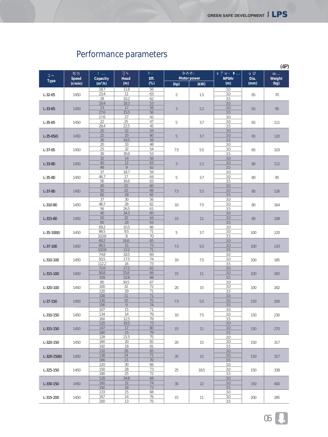|                    |              |                     |              |          |                |                    |                      |                   | (4P)   |
|--------------------|--------------|---------------------|--------------|----------|----------------|--------------------|----------------------|-------------------|--------|
|                    | <b>Speed</b> | Capacity            | Head         | Eff.     |                | <b>Motor power</b> | <b>NPSHr</b><br>Dia. |                   | Weight |
| <b>Type</b>        | (r/min)      | (m <sup>3</sup> /h) | (m)          | (%)      | (hp)           | (kW)               | (m)                  | (mm)              | (kg)   |
|                    |              | 18.7                | 11.8         | 56       |                |                    | 3.0                  |                   |        |
| $L - 32 - 65$      | 1450         | 23.4<br>28          | 11<br>10.2   | 63<br>62 | $\sqrt{2}$     | 1.5                | 3.0<br>3.5           | 65                | 70     |
|                    |              | 18.4                | 18.3         | 53       |                |                    | 3.0                  |                   |        |
| $L - 33 - 65$      | 1450         | 23                  | 17           | 58       | $\sqrt{3}$     | 2.2                | 3.0                  | 65                | 90     |
|                    |              | 27.6                | 15.5         | 56       |                |                    | 3.5                  |                   |        |
|                    |              | 17.6<br>22          | 27<br>25     | 42<br>47 |                |                    | 3.0<br>3.0           |                   |        |
| $L - 35 - 65$      | 1450         | 26.4                | 22.5         | 45       | 5              | 3.7                | 3.5                  | 65                | 111    |
|                    |              | 20                  | 22           | 54       |                |                    | 3.0                  |                   |        |
| $L - 35 - 65(1)$   | 1450         | 25                  | 20           | 60       | 5              | 3.7                | 3.0                  | 65                | 120    |
|                    |              | 30                  | 18.5         | 59<br>48 |                |                    | 3.5                  |                   |        |
|                    |              | 20<br>25            | 33<br>32     | 54       | 7.5            | 5.5                | 3.0<br>3.0           | 65                |        |
| $L - 37 - 65$      | 1450         | 30                  | 30.8         | 53       |                |                    | 3.5                  |                   | 103    |
|                    |              | 32                  | 14           | 56       |                |                    | 3.0                  |                   |        |
| $L - 33 - 80$      | 1450         | 40                  | 12           | 63       | $\mathfrak{Z}$ | 2.2                | 3.0                  | 80                | 112    |
|                    |              | 48<br>37            | 9<br>18.7    | 62<br>59 |                |                    | 3.5<br>3.0           |                   |        |
|                    |              | 46.7                | 17           | 64       |                |                    | 3.0                  |                   |        |
| $L - 35 - 80$      | 1450         | 56                  | 16.6         | 63       | 5              | 3.7                | 3.5                  | 80                | 95     |
|                    |              | 40                  | 22           | 60       |                | 5.5                | 3.0                  |                   |        |
| $L - 37 - 80$      | 1450         | 50                  | 20           | 66       | 7.5            |                    | 3.0                  | 80                | 126    |
|                    |              | 60                  | 18           | 65       |                |                    | 3.5                  |                   |        |
|                    | 1450         | 37<br>46.7          | 30<br>28     | 56<br>62 |                | 7.5                | 3.0<br>3.0           |                   |        |
| $L - 310 - 80$     |              | 56                  | 26.5         | 61       | 10             |                    | 3.5                  | 80                | 164    |
| $L - 315 - 80$     | 1450         | 40                  | 34.2         | 60       |                | 11                 | 3.0                  |                   |        |
|                    |              | 50                  | 32           | 64       | 15             |                    | 3.0                  | 80                | 198    |
|                    |              | 60                  | 29           | 63       |                |                    | 3.5                  |                   |        |
| $L - 35 - 100(1)$  |              | 69.2<br>86.5        | 10.5<br>9.5  | 66<br>71 | 5              |                    | 3.0<br>3.0           |                   |        |
|                    | 1450         | 103.8               | 8            | 70       |                | 3.7                | 3.5                  | 100               | 120    |
|                    | 1450         | 69.2                | 16.6         | 65       | 7.5            | 5.5                | 3.0                  | 3.0<br>100<br>3.5 | 143    |
| $L-37-100$         |              | 86.5                | 15           | 73       |                |                    |                      |                   |        |
|                    |              | 103.8               | 13.2         | 71       |                |                    |                      |                   |        |
|                    |              | 74.8<br>93.5        | 18.5<br>17.5 | 69<br>74 |                |                    | 3.0<br>3.0           |                   |        |
| L-310-100          | 1450         | 112.2               | 16           | 73       | 10             | 7.5                | 3.5                  | 100               | 185    |
|                    |              | 72.6                | 27.2         | 62       |                |                    | 3.0                  |                   |        |
| $L-315-100$        | 1450         | 90.8                | 25.8         | 69       | 15             | 11                 | 3.0                  | 100               | 260    |
|                    |              | 109                 | 22.8         | 68       |                |                    | 3.5                  |                   |        |
|                    |              | 80<br>100           | 34.5<br>32   | 67<br>72 |                | 15                 | 3.0<br>3.0           |                   |        |
| L-320-100          | 1450         | 120                 | 29           | 71       | 20             |                    | 3.5                  | 100               | 282    |
|                    |              | 108                 | 11           | 71       |                |                    | 3.0                  |                   |        |
| $L - 37 - 150$     | 1450         | 130                 | 10           | 75       | 7.5            | 5.5                | 3.0                  | 150               | 200    |
|                    |              | 156                 | 9            | 74       |                |                    | 3.5                  |                   |        |
| $L-310-150$        |              | 107<br>134          | 15<br>14     | 71<br>79 | 10             | 7.5                | 3.0<br>3.0           |                   |        |
|                    | 1450         | 160                 | 12.5         | 78       |                |                    | 3.5                  | 150               | 230    |
|                    |              | 120                 | 18.5         | 73       |                |                    | 3.0                  |                   |        |
| $L-315-150$        | 1450         | 147                 | 17           | 80       | 15             | 11                 | 3.0                  | 150               | 270    |
|                    |              | 180                 | 15           | 79       |                |                    | 3.5                  |                   |        |
|                    |              | 128<br>160          | 21.5<br>20   | 75<br>82 |                |                    | 3.0<br>3.0           |                   |        |
| L-320-150          | 1450         | 192                 | 18           | 81       | 20             | 15                 | 3.5                  | 150               | 317    |
|                    |              | 110                 | 26           | 65       |                |                    | 3.0                  |                   |        |
| $L - 320 - 150(l)$ | 1450         | 138                 | 24           | 71       | 20             | 15                 | 3.0                  | 150               | 317    |
|                    |              | 166                 | 21           | 70       |                |                    | 3.5                  |                   |        |
|                    |              | 120<br>150          | 30<br>28     | 66<br>73 |                |                    | 3.0<br>3.0           |                   |        |
| $L-325-150$        | 1450         | 180                 | 25           | 72       | 25             | 18.5               | 3.5                  | 150               | 338    |
|                    |              | 128                 | 34.8         | 68       |                |                    | 3.0                  |                   |        |
| $L-330-150$        | 1450         | 160                 | 32           | 74       | 30             | 22                 | 3.0                  | 150               | 400    |
|                    |              | 192                 | 28           | 73       |                |                    | 3.5                  |                   |        |
|                    |              | 133<br>167          | 15<br>14     | 68<br>76 |                |                    | 3.0<br>3.0           |                   |        |
| L-315-200          | 1450         | 200                 | 13           | 75       | 15             | 11                 | 3.5                  | 200               | 285    |
|                    |              |                     |              |          |                |                    |                      |                   |        |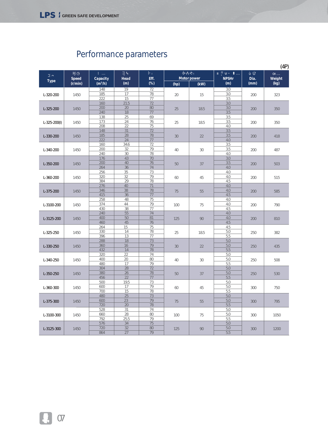|                    |                         |                                      |             |          |                            |      |              |                | (4P) |
|--------------------|-------------------------|--------------------------------------|-------------|----------|----------------------------|------|--------------|----------------|------|
|                    |                         |                                      |             |          |                            |      | <b>NPSHr</b> |                |      |
| <b>Type</b>        | <b>Speed</b><br>(r/min) | Capacity<br>Head<br>$(m^3/h)$<br>(m) | Eff.<br>(%) | (hp)     | <b>Motor power</b><br>(kW) |      | Dia.<br>(mm) | Weight<br>(kg) |      |
|                    |                         | 148                                  | 19          | 72       |                            |      | 3.0          |                |      |
| L-320-200          | 1450                    | 185                                  | 17          | 78       | 20                         | 15   | 3.0          | 200            | 323  |
|                    |                         | 222                                  | 15          | 77       |                            |      | 3.5          |                |      |
|                    |                         | 160                                  | 21.5        | 72       |                            |      | 3.0          |                |      |
| $L - 325 - 200$    | 1450                    | 200                                  | $20\,$      | 80       | 25                         | 18.5 | 3.0          | 200            | 350  |
|                    |                         | 240<br>138                           | 18<br>25    | 77<br>69 |                            |      | 3.5<br>3.5   |                |      |
|                    |                         | 173                                  | 24          | 76       |                            |      | 3.5          |                |      |
| $L - 325 - 200(1)$ | 1450                    | 208                                  | 22          | 75       | 25                         | 18.5 | 4.0          | 200            | 350  |
|                    |                         | 148                                  | 31          | 72       |                            |      | 3.5          |                |      |
| L-330-200          | 1450                    | 185                                  | 28          | 78       | 30                         | 22   | 3.5          | 200            | 418  |
|                    |                         | 222                                  | 24          | 77       |                            |      | 4.0          |                |      |
|                    |                         | 160                                  | 34.6        | 72       |                            |      | 3.5          |                |      |
| L-340-200          | 1450                    | 200                                  | 32          | 79       | 40                         | 30   | 3.5          | 200            | 487  |
|                    |                         | 240                                  | 30          | 78       |                            |      | 4.0          |                |      |
|                    |                         | 176                                  | 43          | 70       |                            | 37   | 3.0          | 200            |      |
| L-350-200          | 1450                    | 200                                  | 40          | 76       | 50                         |      | 3.5          |                | 503  |
|                    |                         | 264                                  | 36          | 74       |                            |      | 4.0          |                |      |
|                    | 1450                    | 256                                  | 35          | 73       | 60                         | 45   | 4.0          | 200            | 515  |
| L-360-200          |                         | 320                                  | 32          | 79       |                            |      | 4.0          |                |      |
|                    |                         | 384                                  | 29          | 78       |                            |      | 4.5          |                |      |
| $L - 375 - 200$    | 1450                    | 276                                  | 40          | 71       | 75                         | 55   | 4.0          | 200            | 585  |
|                    |                         | 346<br>415                           | 38<br>36    | 78<br>77 |                            |      | 4.0<br>4.5   |                |      |
|                    |                         | 258                                  | 48          | 75       |                            |      | 4.0          |                |      |
|                    | 1450                    | 374                                  | 44          | 79       | 100                        | 75   | 4.0          | 200            | 790  |
| L-3100-200         |                         | 430                                  | 38          | 77       |                            |      | 4.5          |                |      |
|                    |                         | 240                                  | 55          | 74       |                            |      | 4.0          | 200            | 810  |
| L-3125-200         | 1450                    | 400                                  | 50          | 81       | 125                        | 90   | 4.0          |                |      |
|                    |                         | 460                                  | 45          | 76       |                            |      | 4.5          |                |      |
|                    |                         | 264                                  | 15          | 75       |                            | 18.5 | 4.5          | 250            | 382  |
| L-325-250          | 1450                    | 330                                  | 14          | 78       | 25                         |      | 5.0          |                |      |
|                    |                         | 396                                  | 13          | 77       |                            |      | 5.5          |                |      |
|                    |                         | 288                                  | 18          | 73       |                            | 22   | 5.0          |                | 435  |
| L-330-250          | 1450                    | 360                                  | 16          | 79       | 30                         |      | 5.0          | 250            |      |
|                    |                         | 432                                  | 14          | 78       |                            |      | 5.5          |                |      |
|                    | 1450                    | 320                                  | 22          | 74       |                            |      | 5.0          |                |      |
| L-340-250          |                         | 400<br>480                           | 20<br>17    | 80<br>79 | 40                         | 30   | 5.0<br>5.5   | 250            | 508  |
|                    |                         | 304                                  | 28          | 72       |                            |      | 5.0          |                |      |
|                    |                         | 380                                  | 26          | 78       |                            |      | 5.0          | 250            |      |
| $L - 350 - 250$    | 1450                    | 456                                  | 22          | 77       | 50                         | 37   | 5.5          |                | 530  |
|                    |                         | 500                                  | 19.5        | 73       |                            |      | 5.0          |                |      |
| L-360-300          | 1450                    | 600                                  | 17          | 79       | 60                         | 45   | 5.0          | 300            | 750  |
|                    |                         | 700                                  | 15          | 78       |                            |      | 5.5          |                |      |
|                    |                         | 480                                  | 25          | 73       |                            |      | 5.0          |                |      |
| $L - 375 - 300$    | 1450                    | 600                                  | 23          | 79       | 75                         | 55   | 5.0          | 300            | 795  |
|                    |                         | 720                                  | 20          | 78       |                            |      | 5.5          |                |      |
|                    |                         | 528                                  | 31          | 74       |                            |      | 5.0          |                |      |
| L-3100-300         | 1450                    | 660                                  | 28          | 80       | 100                        | 75   | 5.0          | 300            | 1050 |
|                    |                         | 792                                  | 25.5        | 79       |                            |      | 5.5          |                |      |
|                    |                         | 576                                  | 34          | 75       |                            |      | 5.0          |                |      |
| L-3125-300         | 1450                    | 720                                  | 32          | 80       | 125                        | 90   | 5.0          | 300            | 1200 |
|                    |                         | 864                                  | 27          | 79       |                            |      | 5.5          |                |      |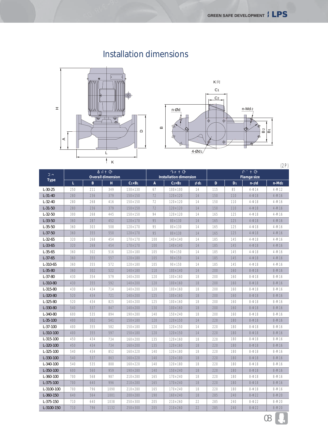#### Installation dimensions





 $Type \tL$ *Overall dimension C1×B1 A Installation dimension Flamge size B H C2×B2 d1 D D1 n- d n-Md2 L-30-25 L-31-40 L-32-40 L-31-50 L-32-50 L-33-50 L-35-50 L-37-50 L-32-65 L-33-65 L-35-65 L-37-65 L-310-65 L-35-80 L-37-80 L-310-80 L-315-80 L-320-80 L-325-80 L-330-80 L-340-80 L-35-100 L-37-100 L-310-100 L-315-100 L-320-100 L-325-100 L-330-100 L-340-100 L-350-100 L-360-100 L-375-100 L-3100-100 L-360-150 L-375-150 L-3100-150* 250 280 280 280 300 360 360 36C 320 320 360 360 360 360 430 430 430 520 520 540 600 400 400 400 450 450 540 540 540 600 700 700 700 640 710 710 21 236 268 236 268 287 303 355 268 268 302 355 302 354 355 434 434 434 537 535 302 355 355 434 434 434 537 535 560 568 640 796 564 640 796 349 379 416 379 445 452 508 550 454 454 516 557 572 522 579 592 714 721 825 847 894 541 582 597 734 734 852 863 888 959 987 996 1090 1001 1038 1132 130×130 150×150 150×150 150×150 150×150 120×170 120×170 120×170 170×170 170×170 120×180 120×180 120×180 140×180 140×200 140×200 140×200 140×200 140×200 140×200 190×280 150×180 150×180 150×180 160×200 160×200 160×220 160×220 160×220 190×280 210×280 210×280 210×280 200×280 250×300 250×300 67 72 72 72 94 95 95 95 100 100 105 105 105 110 120 120 120 125 125 130 140 120 120 120 135 135 140 140 140 140 165 165 165 190 205 205 100×100 120×120 120×120 120×120 120×120 80×130 80×130 80×130 140×140 140×140 90×150 90×150  $90 \times 150$ 100×140 100×160 100×160 100×160 100×160 100×160 100×160 150×240 120×150 120×150 120×150 120×160 120×160 120×180 120×180 120×180 150×240 170×240 170×240 170×240 160×240 210×260 210×260 14 14 14 14 14 14 14 14 14 14 14 14 14 14 18 18 18 18 18 18 18 14 14 14 18 18 18 18 18 18 18 18 18 18 22 22 115 150 150 150 165 165 165 165 185 185 185 185 185 200 200 200 200 200 200 200 200 220 220 220 220 220 220 220 220 220 220 220 220 285 285 285 85 110 110 110 125 125 125 125 145 145 145 145 145 160 160 160 160 160 160 160 160 180 180 180 180 180 180 180 180 180 180 180 180 240  $240$ 240  $4-14$  $4 - 18$ 4-18 4-18 4-18  $4-18$ 4-18 4- 18 4-18 4-18 4-18  $4 - 18$ 4-18 8-18 8-18 8-18 8-18 8-18 8-18 8-18 8-18 8-18 8-18 8-18 8-18 8-18 8-18 8-18 8-18 8-18 8-18 8-18 8-18 8-22 8-22 8-22 4-M12 4-M16 4-M16 4-M16 4-M16 4-M16 4-M16 4-M16 4-M16 4-M16 4-M16 4-M16 4-M16 8-M16 8-M16 8-M16 8-M16 8-M16 8-M16 8-M16 8-M16 8-M16 8-M16 8-M16 8-M16 8-M16 8-M16 8-M16 8-M16 8-M16 8-M16 8-M16 8-M16 8-M20 8-M20 8-M20 (2P)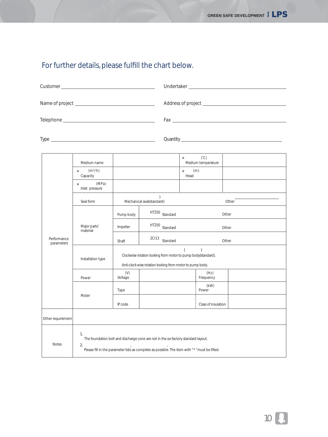#### For further details, please fulfill the chart below.

|                           |                                  |                                                                                                |                                                                                                                                                                                      | Fax <b>Executive Service Service Service Service</b> Service Service Service Service Service Service Service Service          |                                     |       |  |  |  |  |
|---------------------------|----------------------------------|------------------------------------------------------------------------------------------------|--------------------------------------------------------------------------------------------------------------------------------------------------------------------------------------|-------------------------------------------------------------------------------------------------------------------------------|-------------------------------------|-------|--|--|--|--|
|                           |                                  |                                                                                                |                                                                                                                                                                                      | Quantity <u>Commission Commission Commission Commission Commission Commission Commission Commission Commission Commission</u> |                                     |       |  |  |  |  |
|                           | Medium name                      |                                                                                                |                                                                                                                                                                                      | $\star$                                                                                                                       | $(^{\circ}C)$<br>Medium temperature |       |  |  |  |  |
|                           | $(m^3/h)$<br>$\star$<br>Capacity |                                                                                                |                                                                                                                                                                                      | $\star$ (m)<br>Head                                                                                                           |                                     |       |  |  |  |  |
|                           | (MPa)<br>Inlet pressure          |                                                                                                |                                                                                                                                                                                      |                                                                                                                               |                                     |       |  |  |  |  |
|                           | Seal form                        |                                                                                                | $\lambda$<br>Mechanical seal(standard)                                                                                                                                               |                                                                                                                               |                                     | Other |  |  |  |  |
|                           |                                  | Pump body                                                                                      | HT250 Standard                                                                                                                                                                       |                                                                                                                               |                                     | Other |  |  |  |  |
|                           | Major parts'<br>material         | Impeller                                                                                       | HT250 Standard                                                                                                                                                                       |                                                                                                                               |                                     | Other |  |  |  |  |
| Performance<br>parameters |                                  | Shaft                                                                                          | 2Cr13<br>Standard                                                                                                                                                                    |                                                                                                                               |                                     | Other |  |  |  |  |
|                           | Installation type                | $\overline{(\ }$<br>$\lambda$<br>Clockwise rotation looking from motor to pump body(standard). |                                                                                                                                                                                      |                                                                                                                               |                                     |       |  |  |  |  |
|                           |                                  |                                                                                                | Anti-clock wise rotation looking from motor to pump body.                                                                                                                            |                                                                                                                               |                                     |       |  |  |  |  |
|                           | Power                            | (V)<br>Voltage                                                                                 |                                                                                                                                                                                      |                                                                                                                               | (Hz)<br>Frequency                   |       |  |  |  |  |
|                           |                                  | Type                                                                                           |                                                                                                                                                                                      |                                                                                                                               | (kW)<br>Power                       |       |  |  |  |  |
|                           | Moter                            | IP code                                                                                        |                                                                                                                                                                                      |                                                                                                                               | Class of insulation                 |       |  |  |  |  |
| Other requirement         |                                  |                                                                                                |                                                                                                                                                                                      |                                                                                                                               |                                     |       |  |  |  |  |
| <b>Notes</b>              | 1.<br>2.                         |                                                                                                | The foundation bolt and discharge cone are not in the ex-factory standard layout.<br>Please fill in the parameter lists as complete as possible. The item with " * " must be filled. |                                                                                                                               |                                     |       |  |  |  |  |

10 Q